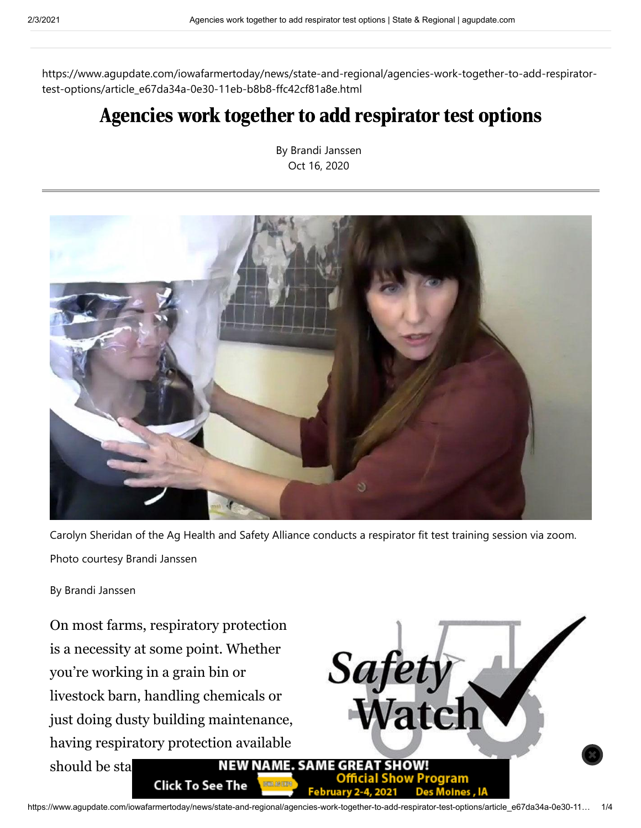https://www.agupdate.com/iowafarmertoday/news/state-and-regional/agencies-work-together-to-add-respiratortest-options/article\_e67da34a-0e30-11eb-b8b8-ffc42cf81a8e.html

## Agencies work together to add respirator test options

By Brandi Janssen Oct 16, 2020



Carolyn Sheridan of the Ag Health and Safety Alliance conducts a respirator fit test training session via zoom. Photo courtesy Brandi Janssen

By Brandi Janssen

On most farms, respiratory protection is a necessity at some point. Whether you're working in a grain bin or livestock barn, handling chemicals or just doing dusty building maintenance, having respiratory protection available should be standard safety **NEW NAME. SAME GREAT SHOW! Click To See The** 

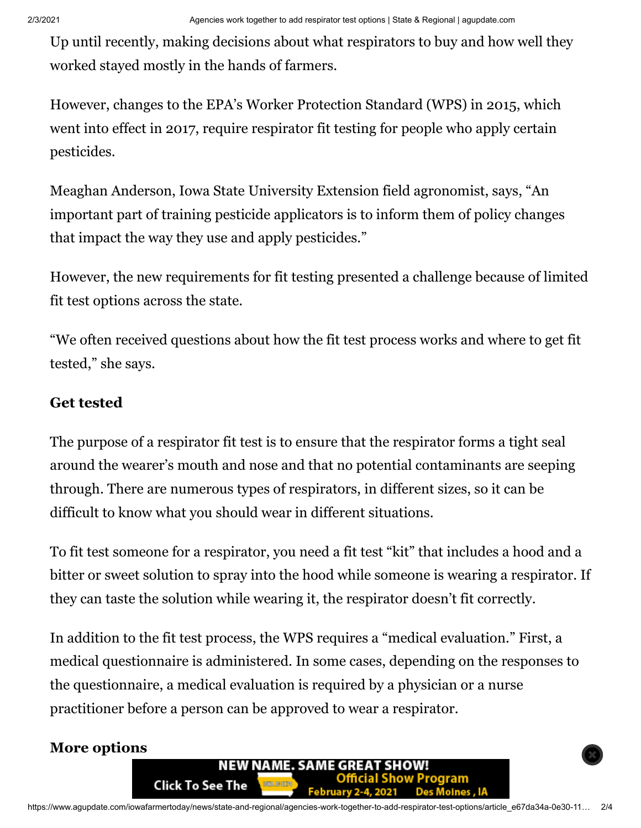Up until recently, making decisions about what respirators to buy and how well they worked stayed mostly in the hands of farmers.

However, changes to the EPA's Worker Protection Standard (WPS) in 2015, which went into effect in 2017, require respirator fit testing for people who apply certain pesticides.

Meaghan Anderson, Iowa State University Extension field agronomist, says, "An important part of training pesticide applicators is to inform them of policy changes that impact the way they use and apply pesticides."

However, the new requirements for fit testing presented a challenge because of limited fit test options across the state.

"We often received questions about how the fit test process works and where to get fit tested," she says.

## **Get tested**

The purpose of a respirator fit test is to ensure that the respirator forms a tight seal around the wearer's mouth and nose and that no potential contaminants are seeping through. There are numerous types of respirators, in different sizes, so it can be difficult to know what you should wear in different situations.

To fit test someone for a respirator, you need a fit test "kit" that includes a hood and a bitter or sweet solution to spray into the hood while someone is wearing a respirator. If they can taste the solution while wearing it, the respirator doesn't fit correctly.

In addition to the fit test process, the WPS requires a "medical evaluation." First, a medical questionnaire is administered. In some cases, depending on the responses to the questionnaire, a medical evaluation is required by a physician or a nurse practitioner before a person can be approved to wear a respirator.

## **More options**

**Click To See The** 

NEW NAME. SAME GREAT SHOW!

**February 2-4, 2021** 

Show Program

**Des Moines, IA**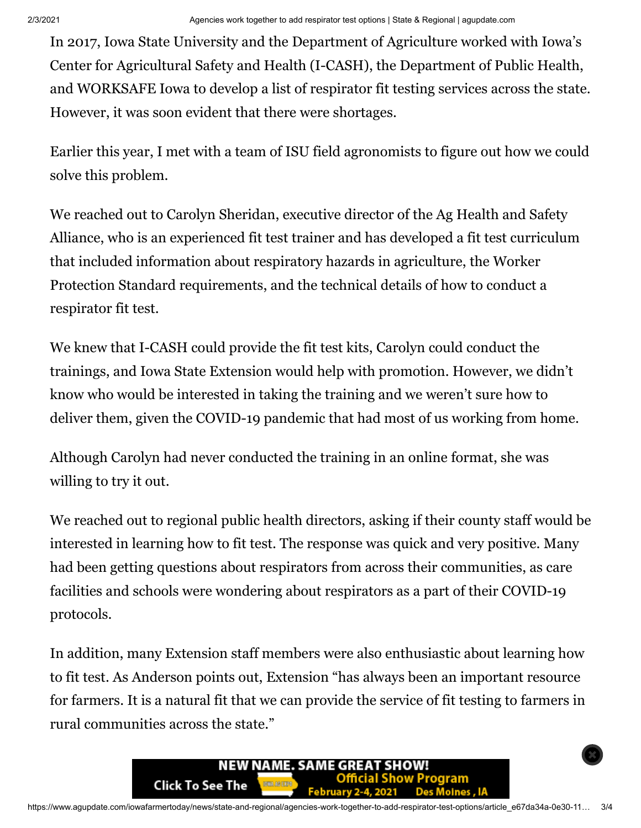In 2017, Iowa State University and the Department of Agriculture worked with Iowa's Center for Agricultural Safety and Health (I-CASH), the Department of Public Health, and WORKSAFE Iowa to develop a list of respirator fit testing services across the state. However, it was soon evident that there were shortages.

Earlier this year, I met with a team of ISU field agronomists to figure out how we could solve this problem.

We reached out to Carolyn Sheridan, executive director of the Ag Health and Safety Alliance, who is an experienced fit test trainer and has developed a fit test curriculum that included information about respiratory hazards in agriculture, the Worker Protection Standard requirements, and the technical details of how to conduct a respirator fit test.

We knew that I-CASH could provide the fit test kits, Carolyn could conduct the trainings, and Iowa State Extension would help with promotion. However, we didn't know who would be interested in taking the training and we weren't sure how to deliver them, given the COVID-19 pandemic that had most of us working from home.

Although Carolyn had never conducted the training in an online format, she was willing to try it out.

We reached out to regional public health directors, asking if their county staff would be interested in learning how to fit test. The response was quick and very positive. Many had been getting questions about respirators from across their communities, as care facilities and schools were wondering about respirators as a part of their COVID-19 protocols.

In addition, many Extension staff members were also enthusiastic about learning how to fit test. As Anderson points out, Extension "has always been an important resource for farmers. It is a natural fit that we can provide the service of fit testing to farmers in rural communities across the state."